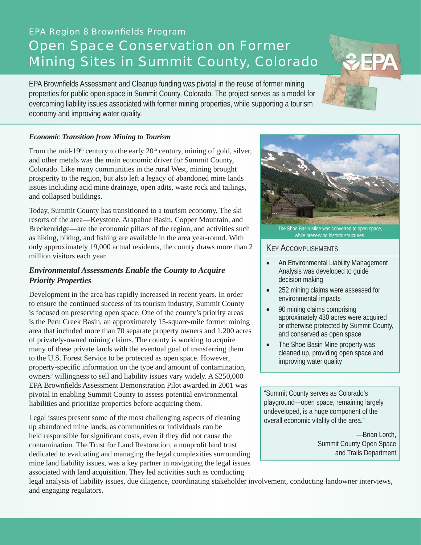# **EPA Region 8 Brownfields Program** Open Space Conservation on Former Mining Sites in Summit County, Colorado

EPA Brownfields Assessment and Cleanup funding was pivotal in the reuse of former mining properties for public open space in Summit County, Colorado. The project serves as a model for overcoming liability issues associated with former mining properties, while supporting a tourism economy and improving water quality.

#### *Economic Transition from Mining to Tourism*

From the mid-19<sup>th</sup> century to the early  $20<sup>th</sup>$  century, mining of gold, silver, and other metals was the main economic driver for Summit County, Colorado. Like many communities in the rural West, mining brought prosperity to the region, but also left a legacy of abandoned mine lands issues including acid mine drainage, open adits, waste rock and tailings, and collapsed buildings.

Today, Summit County has transitioned to a tourism economy. The ski resorts of the area—Keystone, Arapahoe Basin, Copper Mountain, and Breckenridge—are the economic pillars of the region, and activities such as hiking, biking, and fishing are available in the area year-round. With only approximately 19,000 actual residents, the county draws more than 2 million visitors each year.

## *Environmental Assessments Enable the County to Acquire Priority Properties*

Development in the area has rapidly increased in recent years. In order to ensure the continued success of its tourism industry, Summit County is focused on preserving open space. One of the county's priority areas is the Peru Creek Basin, an approximately 15-square-mile former mining area that included more than 70 separate property owners and 1,200 acres of privately-owned mining claims. The county is working to acquire many of these private lands with the eventual goal of transferring them to the U.S. Forest Service to be protected as open space. However, property-specific information on the type and amount of contamination, owners' willingness to sell and liability issues vary widely. A \$250,000 EPA Brownfields Assessment Demonstration Pilot awarded in 2001 was pivotal in enabling Summit County to assess potential environmental liabilities and prioritize properties before acquiring them.

Legal issues present some of the most challenging aspects of cleaning up abandoned mine lands, as communities or individuals can be held responsible for significant costs, even if they did not cause the contamination. The Trust for Land Restoration, a nonprofit land trust dedicated to evaluating and managing the legal complexities surrounding mine land liability issues, was a key partner in navigating the legal issues associated with land acquisition. They led activities such as conducting

legal analysis of liability issues, due diligence, coordinating stakeholder involvement, conducting landowner interviews, and engaging regulators.



#### KEY ACCOMPLISHMENTS

- An Environmental Liability Management Analysis was developed to guide decision making
- 252 mining claims were assessed for environmental impacts
- 90 mining claims comprising approximately 430 acres were acquired or otherwise protected by Summit County, and conserved as open space
- The Shoe Basin Mine property was cleaned up, providing open space and improving water quality

"Summit County serves as Colorado's playground—open space, remaining largely undeveloped, is a huge component of the overall economic vitality of the area."

> —Brian Lorch, Summit County Open Space and Trails Department